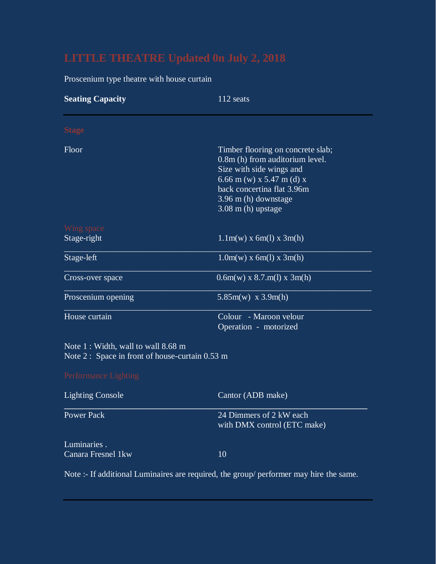Proscenium type theatre with house curtain

| <b>Seating Capacity</b>                                                                                         | 112 seats                                                                                                                                                                                                   |
|-----------------------------------------------------------------------------------------------------------------|-------------------------------------------------------------------------------------------------------------------------------------------------------------------------------------------------------------|
| <b>Stage</b>                                                                                                    |                                                                                                                                                                                                             |
| Floor                                                                                                           | Timber flooring on concrete slab;<br>0.8m (h) from auditorium level.<br>Size with side wings and<br>6.66 m (w) x 5.47 m (d) x<br>back concertina flat 3.96m<br>3.96 m (h) downstage<br>$3.08$ m (h) upstage |
| Wing space<br>Stage-right                                                                                       | $1.1m(w)$ x 6m(l) x 3m(h)                                                                                                                                                                                   |
| Stage-left                                                                                                      | $1.0m(w)$ x 6m(1) x 3m(h)                                                                                                                                                                                   |
| Cross-over space                                                                                                | $0.6m(w) \times 8.7.m(1) \times 3m(h)$                                                                                                                                                                      |
| Proscenium opening                                                                                              | $5.85m(w)$ x 3.9m(h)                                                                                                                                                                                        |
| House curtain                                                                                                   | Colour - Maroon velour<br>Operation - motorized                                                                                                                                                             |
| Note 1 : Width, wall to wall 8.68 m<br>Note $2:$ Space in front of house-curtain 0.53 m<br>Performance Lighting |                                                                                                                                                                                                             |
| <b>Lighting Console</b>                                                                                         | Cantor (ADB make)                                                                                                                                                                                           |
| <b>Power Pack</b>                                                                                               | 24 Dimmers of 2 kW each<br>with DMX control (ETC make)                                                                                                                                                      |
| Luminaries.<br>Canara Fresnel 1kw                                                                               | 10                                                                                                                                                                                                          |

Note :- If additional Luminaires are required, the group/ performer may hire the same.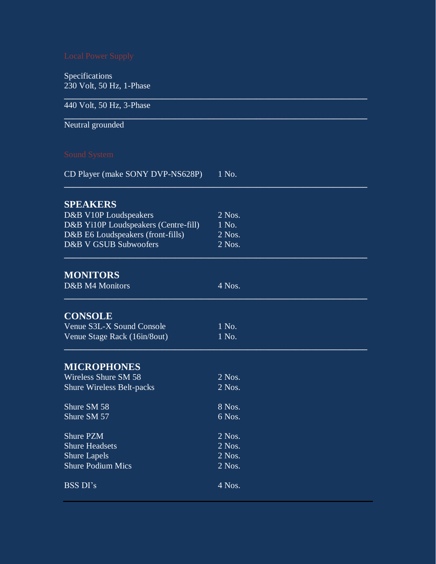Specifications 230 Volt, 50 Hz, 1-Phase

| 440 Volt, 50 Hz, 3-Phase             |          |  |
|--------------------------------------|----------|--|
| Neutral grounded                     |          |  |
| <b>Sound System</b>                  |          |  |
| CD Player (make SONY DVP-NS628P)     | 1 No.    |  |
| <b>SPEAKERS</b>                      |          |  |
| D&B V10P Loudspeakers                | 2 Nos.   |  |
| D&B Yi10P Loudspeakers (Centre-fill) | 1 No.    |  |
| D&B E6 Loudspeakers (front-fills)    | $2$ Nos. |  |
| D&B V GSUB Subwoofers                | 2 Nos.   |  |
| <b>MONITORS</b>                      |          |  |
| D&B M4 Monitors                      | 4 Nos.   |  |
| <b>CONSOLE</b>                       |          |  |
| Venue S3L-X Sound Console            | 1 No.    |  |
| Venue Stage Rack (16in/8out)         | 1 No.    |  |
| <b>MICROPHONES</b>                   |          |  |
| Wireless Shure SM 58                 | $2$ Nos. |  |
| <b>Shure Wireless Belt-packs</b>     | $2$ Nos. |  |
| Shure SM 58                          | 8 Nos.   |  |
| Shure SM 57                          | 6 Nos.   |  |
| <b>Shure PZM</b>                     | $2$ Nos. |  |
| <b>Shure Headsets</b>                | 2 Nos.   |  |
| <b>Shure Lapels</b>                  | 2 Nos.   |  |
| <b>Shure Podium Mics</b>             | 2 Nos.   |  |
| <b>BSS DI's</b>                      | 4 Nos.   |  |